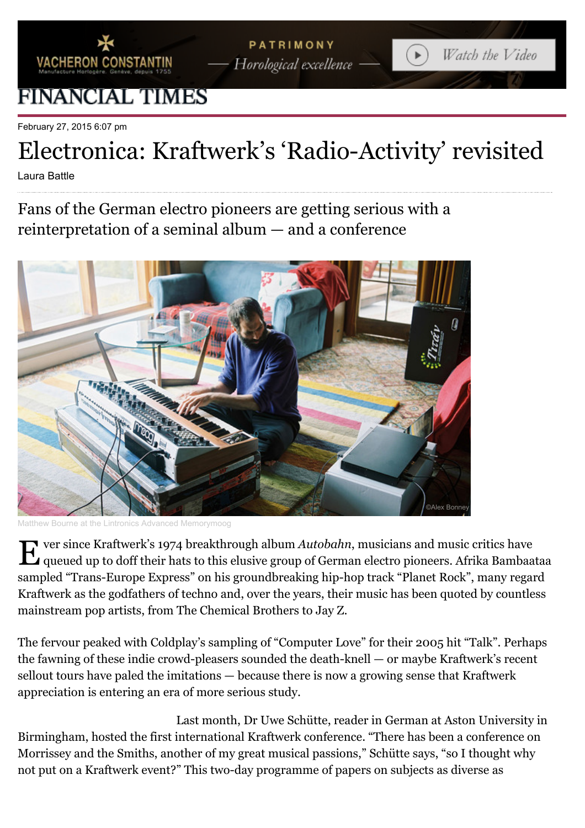

## FINANCIAL TIMES

February 27, 2015 6:07 pm

## Electronica: Kraftwerk's 'Radio-Activity' revisited

Laura Battle

Fans of the German electro pioneers are getting serious with a reinterpretation of a seminal album — and a conference



Matthew Bourne at the Lintronics Advanced Memorymoog

E ver since Kraftwerk's 1974 breakthrough album *Autobahn*, musicians and music critics have queued up to doff their hats to this elusive group of German electro pioneers. Afrika Bambaataa sampled "Trans-Europe Express" on his groundbreaking hip-hop track "Planet Rock", many regard Kraftwerk as the godfathers of techno and, over the years, their music has been quoted by countless mainstream pop artists, from The Chemical Brothers to Jay Z.

The fervour peaked with Coldplay's sampling of "Computer Love" for their 2005 hit "Talk". Perhaps the fawning of these indie crowd-pleasers sounded the death-knell — or maybe Kraftwerk's recent sellout tours have paled the imitations — because there is now a growing sense that Kraftwerk appreciation is entering an era of more serious study.

Last month, Dr Uwe Schütte, reader in German at Aston University in Birmingham, hosted the first international Kraftwerk conference. "There has been a conference on Morrissey and the Smiths, another of my great musical passions," Schütte says, "so I thought why not put on a Kraftwerk event?" This two-day programme of papers on subjects as diverse as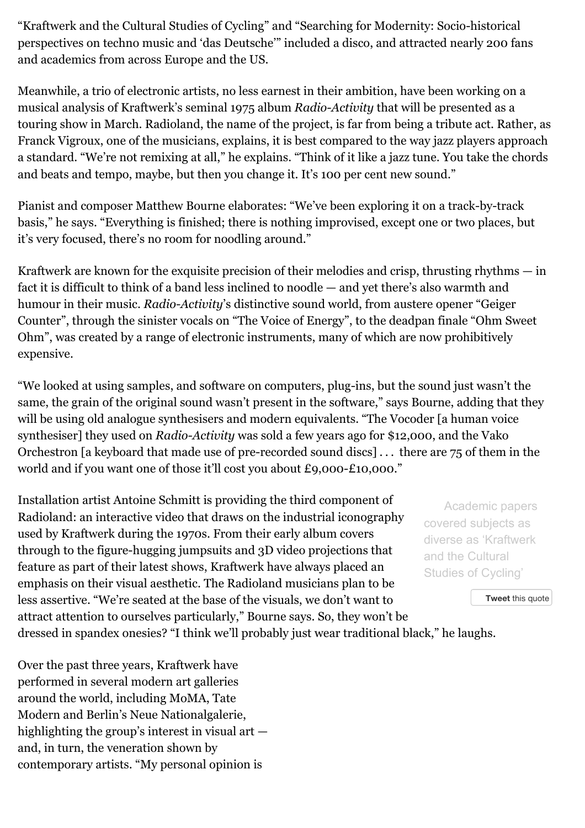"Kraftwerk and the Cultural Studies of Cycling" and "Searching for Modernity: Socio-historical perspectives on techno music and 'das Deutsche'" included a disco, and attracted nearly 200 fans and academics from across Europe and the US.

Meanwhile, a trio of electronic artists, no less earnest in their ambition, have been working on a musical analysis of Kraftwerk's seminal 1975 album *Radio-Activity* that will be presented as a touring show in March. Radioland, the name of the project, is far from being a tribute act. Rather, as Franck Vigroux, one of the musicians, explains, it is best compared to the way jazz players approach a standard. "We're not remixing at all," he explains. "Think of it like a jazz tune. You take the chords and beats and tempo, maybe, but then you change it. It's 100 per cent new sound."

Pianist and composer Matthew Bourne elaborates: "We've been exploring it on a track-by-track basis," he says. "Everything is finished; there is nothing improvised, except one or two places, but it's very focused, there's no room for noodling around."

Kraftwerk are known for the exquisite precision of their melodies and crisp, thrusting rhythms — in fact it is difficult to think of a band less inclined to noodle — and yet there's also warmth and humour in their music. *Radio-Activity*'s distinctive sound world, from austere opener "Geiger Counter", through the sinister vocals on "The Voice of Energy", to the deadpan finale "Ohm Sweet Ohm", was created by a range of electronic instruments, many of which are now prohibitively expensive.

"We looked at using samples, and software on computers, plug-ins, but the sound just wasn't the same, the grain of the original sound wasn't present in the software," says Bourne, adding that they will be using old analogue synthesisers and modern equivalents. "The Vocoder [a human voice synthesiser] they used on *Radio-Activity* was sold a few years ago for \$12,000, and the Vako Orchestron [a keyboard that made use of pre-recorded sound discs] . . . there are 75 of them in the world and if you want one of those it'll cost you about £9,000-£10,000."

Installation artist Antoine Schmitt is providing the third component of Radioland: an interactive video that draws on the industrial iconography used by Kraftwerk during the 1970s. From their early album covers through to the figure-hugging jumpsuits and 3D video projections that feature as part of their latest shows, Kraftwerk have always placed an emphasis on their visual aesthetic. The Radioland musicians plan to be less assertive. "We're seated at the base of the visuals, we don't want to attract attention to ourselves particularly," Bourne says. So, they won't be

dressed in spandex onesies? "I think we'll probably just wear traditional black," he laughs.

Academic papers covered subjects as diverse as 'Kraftwerk and the Cultural Studies of Cycling'

**Tweet** [this quote](javascript:void(0))

Over the past three years, [Kraftwerk](http://www.ft.com/intl/cms/s/2/27e01f14-712e-11e2-9b5c-00144feab49a.html) have performed in several modern art galleries around the world, including [MoMA,](http://www.ft.com/intl/cms/s/2/657490c8-7a60-11e1-9c77-00144feab49a.html#axzz3SuzKvT7k) Tate Modern and Berlin's Neue Nationalgalerie, highlighting the group's interest in visual art and, in turn, the veneration shown by contemporary artists. "My personal opinion is